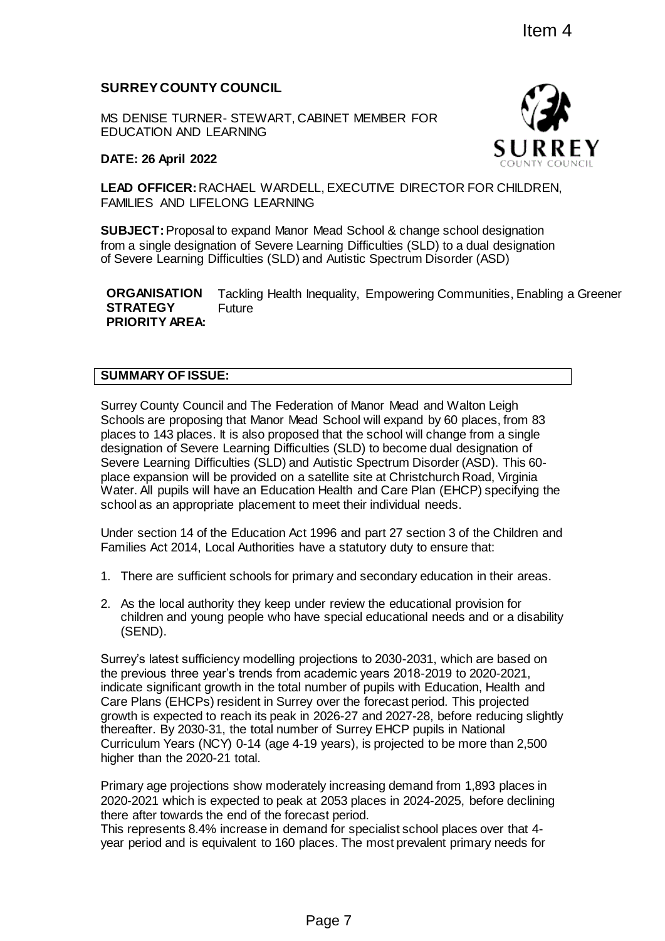# **SURREY COUNTY COUNCIL**

MS DENISE TURNER- STEWART, CABINET MEMBER FOR EDUCATION AND LEARNING

#### **DATE: 26 April 2022**



**LEAD OFFICER:** RACHAEL WARDELL, EXECUTIVE DIRECTOR FOR CHILDREN, FAMILIES AND LIFELONG LEARNING

**SUBJECT:** Proposal to expand Manor Mead School & change school designation from a single designation of Severe Learning Difficulties (SLD) to a dual designation of Severe Learning Difficulties (SLD) and Autistic Spectrum Disorder (ASD)

**ORGANISATION STRATEGY PRIORITY AREA:** Tackling Health Inequality, Empowering Communities, Enabling a Greener Future

### **SUMMARY OF ISSUE:**

Surrey County Council and The Federation of Manor Mead and Walton Leigh Schools are proposing that Manor Mead School will expand by 60 places, from 83 places to 143 places. It is also proposed that the school will change from a single designation of Severe Learning Difficulties (SLD) to become dual designation of Severe Learning Difficulties (SLD) and Autistic Spectrum Disorder (ASD). This 60 place expansion will be provided on a satellite site at Christchurch Road, Virginia Water. All pupils will have an Education Health and Care Plan (EHCP) specifying the school as an appropriate placement to meet their individual needs.

Under section 14 of the Education Act 1996 and part 27 section 3 of the Children and Families Act 2014, Local Authorities have a statutory duty to ensure that:

- 1. There are sufficient schools for primary and secondary education in their areas.
- 2. As the local authority they keep under review the educational provision for children and young people who have special educational needs and or a disability (SEND).

Surrey's latest sufficiency modelling projections to 2030-2031, which are based on the previous three year's trends from academic years 2018-2019 to 2020-2021, indicate significant growth in the total number of pupils with Education, Health and Care Plans (EHCPs) resident in Surrey over the forecast period. This projected growth is expected to reach its peak in 2026-27 and 2027-28, before reducing slightly thereafter. By 2030-31, the total number of Surrey EHCP pupils in National Curriculum Years (NCY) 0-14 (age 4-19 years), is projected to be more than 2,500 higher than the 2020-21 total. Item 4<br>
HERNET MEMBER FOR<br>
SULTIVE DIRECTOR FOR CHILDREN,<br>
COUNTY COU<br>
G<br>
The and School & change school designation<br>
or Mead School & change school designation<br>
mequality, Empowering Communities, Enabling a<br>
mequality, Em

Primary age projections show moderately increasing demand from 1,893 places in 2020-2021 which is expected to peak at 2053 places in 2024-2025, before declining there after towards the end of the forecast period.

This represents 8.4% increase in demand for specialist school places over that 4 year period and is equivalent to 160 places. The most prevalent primary needs for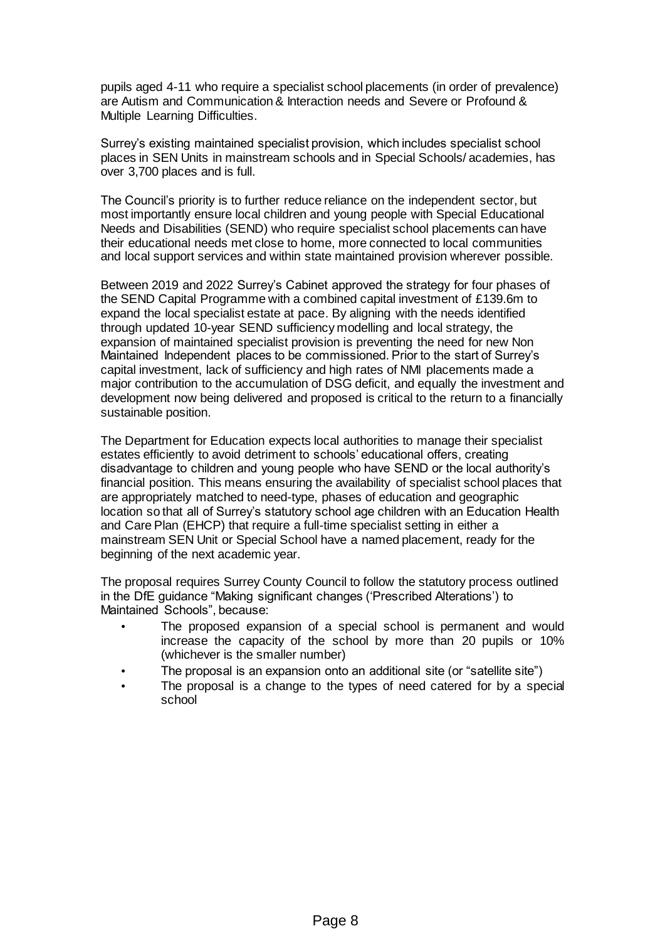pupils aged 4-11 who require a specialist school placements (in order of prevalence) are Autism and Communication & Interaction needs and Severe or Profound & Multiple Learning Difficulties.

Surrey's existing maintained specialist provision, which includes specialist school places in SEN Units in mainstream schools and in Special Schools/ academies, has over 3,700 places and is full.

The Council's priority is to further reduce reliance on the independent sector, but most importantly ensure local children and young people with Special Educational Needs and Disabilities (SEND) who require specialist school placements can have their educational needs met close to home, more connected to local communities and local support services and within state maintained provision wherever possible.

Between 2019 and 2022 Surrey's Cabinet approved the strategy for four phases of the SEND Capital Programme with a combined capital investment of £139.6m to expand the local specialist estate at pace. By aligning with the needs identified through updated 10-year SEND sufficiency modelling and local strategy, the expansion of maintained specialist provision is preventing the need for new Non Maintained Independent places to be commissioned. Prior to the start of Surrey's capital investment, lack of sufficiency and high rates of NMI placements made a major contribution to the accumulation of DSG deficit, and equally the investment and development now being delivered and proposed is critical to the return to a financially sustainable position.

The Department for Education expects local authorities to manage their specialist estates efficiently to avoid detriment to schools' educational offers, creating disadvantage to children and young people who have SEND or the local authority's financial position. This means ensuring the availability of specialist school places that are appropriately matched to need-type, phases of education and geographic location so that all of Surrey's statutory school age children with an Education Health and Care Plan (EHCP) that require a full-time specialist setting in either a mainstream SEN Unit or Special School have a named placement, ready for the beginning of the next academic year.

The proposal requires Surrey County Council to follow the statutory process outlined in the DfE guidance "Making significant changes ('Prescribed Alterations') to Maintained Schools", because:

- The proposed expansion of a special school is permanent and would increase the capacity of the school by more than 20 pupils or 10% (whichever is the smaller number)
- The proposal is an expansion onto an additional site (or "satellite site")
- The proposal is a change to the types of need catered for by a special school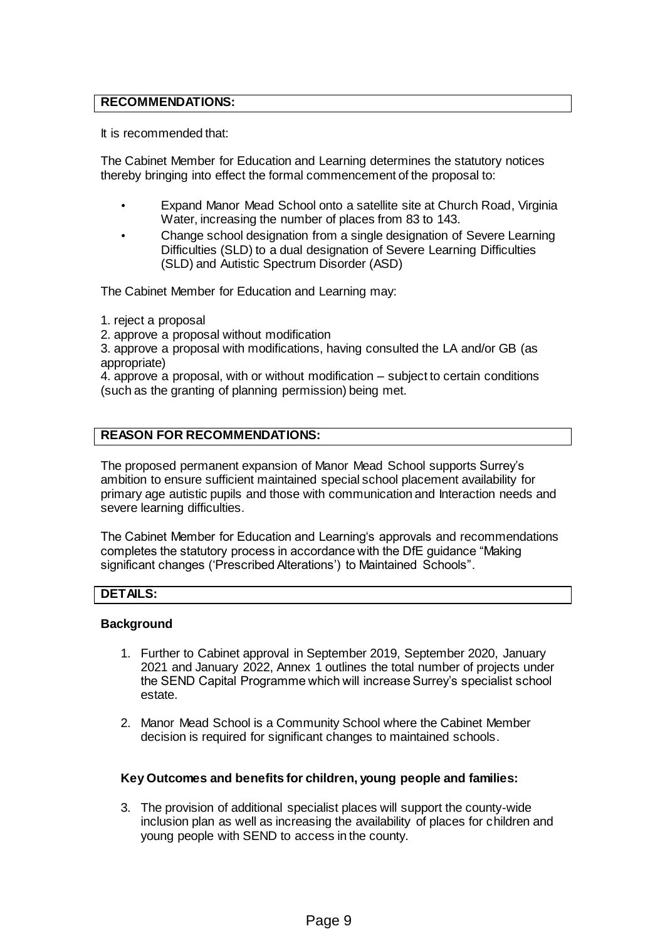#### **RECOMMENDATIONS:**

It is recommended that:

The Cabinet Member for Education and Learning determines the statutory notices thereby bringing into effect the formal commencement of the proposal to:

- Expand Manor Mead School onto a satellite site at Church Road, Virginia Water, increasing the number of places from 83 to 143.
- Change school designation from a single designation of Severe Learning Difficulties (SLD) to a dual designation of Severe Learning Difficulties (SLD) and Autistic Spectrum Disorder (ASD)

The Cabinet Member for Education and Learning may:

1. reject a proposal

2. approve a proposal without modification

3. approve a proposal with modifications, having consulted the LA and/or GB (as appropriate)

4. approve a proposal, with or without modification – subject to certain conditions (such as the granting of planning permission) being met.

#### **REASON FOR RECOMMENDATIONS:**

The proposed permanent expansion of Manor Mead School supports Surrey's ambition to ensure sufficient maintained special school placement availability for primary age autistic pupils and those with communication and Interaction needs and severe learning difficulties.

The Cabinet Member for Education and Learning's approvals and recommendations completes the statutory process in accordance with the DfE guidance "Making significant changes ('Prescribed Alterations') to Maintained Schools".

#### **DETAILS:**

#### **Background**

- 1. Further to Cabinet approval in September 2019, September 2020, January 2021 and January 2022, Annex 1 outlines the total number of projects under the SEND Capital Programme which will increase Surrey's specialist school estate.
- 2. Manor Mead School is a Community School where the Cabinet Member decision is required for significant changes to maintained schools.

#### **Key Outcomes and benefits for children, young people and families:**

3. The provision of additional specialist places will support the county-wide inclusion plan as well as increasing the availability of places for children and young people with SEND to access in the county.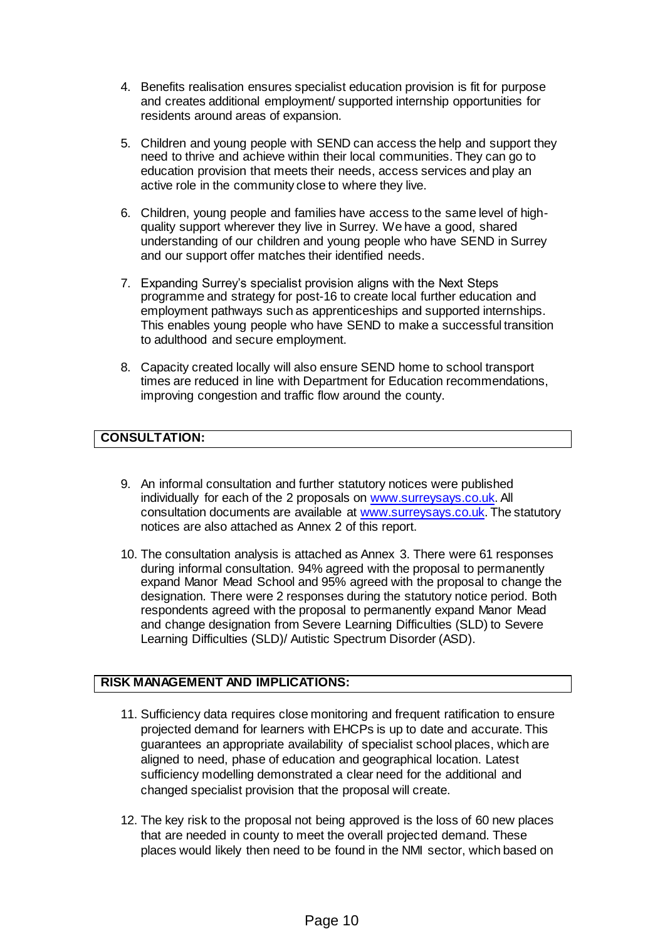- 4. Benefits realisation ensures specialist education provision is fit for purpose and creates additional employment/ supported internship opportunities for residents around areas of expansion.
- 5. Children and young people with SEND can access the help and support they need to thrive and achieve within their local communities. They can go to education provision that meets their needs, access services and play an active role in the community close to where they live.
- 6. Children, young people and families have access to the same level of highquality support wherever they live in Surrey. We have a good, shared understanding of our children and young people who have SEND in Surrey and our support offer matches their identified needs.
- 7. Expanding Surrey's specialist provision aligns with the Next Steps programme and strategy for post-16 to create local further education and employment pathways such as apprenticeships and supported internships. This enables young people who have SEND to make a successful transition to adulthood and secure employment.
- 8. Capacity created locally will also ensure SEND home to school transport times are reduced in line with Department for Education recommendations, improving congestion and traffic flow around the county.

# **CONSULTATION:**

- 9. An informal consultation and further statutory notices were published individually for each of the 2 proposals on [www.surreysays.co.uk](http://www.surreysays.co.uk/). All consultation documents are available at [www.surreysays.co.uk](http://www.surreysays.co.uk/). The statutory notices are also attached as Annex 2 of this report.
- 10. The consultation analysis is attached as Annex 3. There were 61 responses during informal consultation. 94% agreed with the proposal to permanently expand Manor Mead School and 95% agreed with the proposal to change the designation. There were 2 responses during the statutory notice period. Both respondents agreed with the proposal to permanently expand Manor Mead and change designation from Severe Learning Difficulties (SLD) to Severe Learning Difficulties (SLD)/ Autistic Spectrum Disorder (ASD).

### **RISK MANAGEMENT AND IMPLICATIONS:**

- 11. Sufficiency data requires close monitoring and frequent ratification to ensure projected demand for learners with EHCPs is up to date and accurate. This guarantees an appropriate availability of specialist school places, which are aligned to need, phase of education and geographical location. Latest sufficiency modelling demonstrated a clear need for the additional and changed specialist provision that the proposal will create.
- 12. The key risk to the proposal not being approved is the loss of 60 new places that are needed in county to meet the overall projected demand. These places would likely then need to be found in the NMI sector, which based on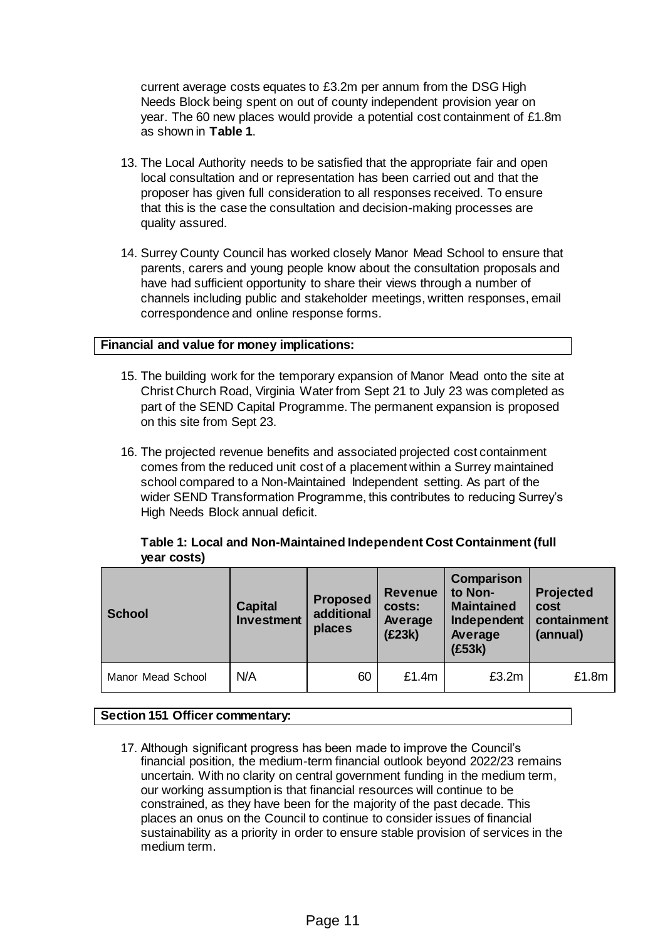current average costs equates to £3.2m per annum from the DSG High Needs Block being spent on out of county independent provision year on year. The 60 new places would provide a potential cost containment of £1.8m as shown in **Table 1**.

- 13. The Local Authority needs to be satisfied that the appropriate fair and open local consultation and or representation has been carried out and that the proposer has given full consideration to all responses received. To ensure that this is the case the consultation and decision-making processes are quality assured.
- 14. Surrey County Council has worked closely Manor Mead School to ensure that parents, carers and young people know about the consultation proposals and have had sufficient opportunity to share their views through a number of channels including public and stakeholder meetings, written responses, email correspondence and online response forms.

#### **Financial and value for money implications:**

- 15. The building work for the temporary expansion of Manor Mead onto the site at Christ Church Road, Virginia Water from Sept 21 to July 23 was completed as part of the SEND Capital Programme. The permanent expansion is proposed on this site from Sept 23.
- 16. The projected revenue benefits and associated projected cost containment comes from the reduced unit cost of a placement within a Surrey maintained school compared to a Non-Maintained Independent setting. As part of the wider SEND Transformation Programme, this contributes to reducing Surrey's High Needs Block annual deficit.

| <b>vear costs)</b> |                              |                                  |                                               |                                                                                |                                                     |
|--------------------|------------------------------|----------------------------------|-----------------------------------------------|--------------------------------------------------------------------------------|-----------------------------------------------------|
| <b>School</b>      | <b>Capital</b><br>Investment | Proposed<br>additional<br>places | <b>Revenue</b><br>costs:<br>Average<br>(E23k) | Comparison<br>to Non-<br><b>Maintained</b><br>Independent<br>Average<br>(£53k) | <b>Projected</b><br>cost<br>containment<br>(annual) |
| Manor Mead School  | N/A                          | 60                               | £1.4m                                         | £3.2m                                                                          | £1.8m                                               |

### **Table 1: Local and Non-Maintained Independent Cost Containment (full**   $A^{-1}$

#### **Section 151 Officer commentary:**

17. Although significant progress has been made to improve the Council's financial position, the medium-term financial outlook beyond 2022/23 remains uncertain. With no clarity on central government funding in the medium term, our working assumption is that financial resources will continue to be constrained, as they have been for the majority of the past decade. This places an onus on the Council to continue to consider issues of financial sustainability as a priority in order to ensure stable provision of services in the medium term.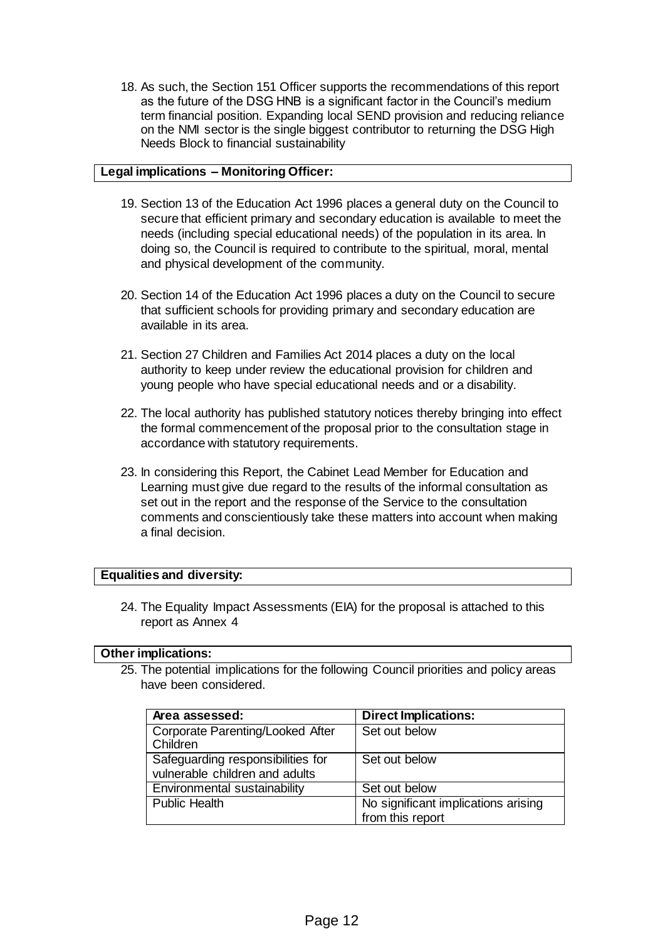18. As such, the Section 151 Officer supports the recommendations of this report as the future of the DSG HNB is a significant factor in the Council's medium term financial position. Expanding local SEND provision and reducing reliance on the NMI sector is the single biggest contributor to returning the DSG High Needs Block to financial sustainability

#### **Legal implications – Monitoring Officer:**

- 19. Section 13 of the Education Act 1996 places a general duty on the Council to secure that efficient primary and secondary education is available to meet the needs (including special educational needs) of the population in its area. In doing so, the Council is required to contribute to the spiritual, moral, mental and physical development of the community.
- 20. Section 14 of the Education Act 1996 places a duty on the Council to secure that sufficient schools for providing primary and secondary education are available in its area.
- 21. Section 27 Children and Families Act 2014 places a duty on the local authority to keep under review the educational provision for children and young people who have special educational needs and or a disability.
- 22. The local authority has published statutory notices thereby bringing into effect the formal commencement of the proposal prior to the consultation stage in accordance with statutory requirements.
- 23. In considering this Report, the Cabinet Lead Member for Education and Learning must give due regard to the results of the informal consultation as set out in the report and the response of the Service to the consultation comments and conscientiously take these matters into account when making a final decision.

#### **Equalities and diversity:**

24. The Equality Impact Assessments (EIA) for the proposal is attached to this report as Annex 4

#### **Other implications:**

25. The potential implications for the following Council priorities and policy areas have been considered.

| Area assessed:                    | <b>Direct Implications:</b>         |  |  |
|-----------------------------------|-------------------------------------|--|--|
| Corporate Parenting/Looked After  | Set out below                       |  |  |
| Children                          |                                     |  |  |
| Safeguarding responsibilities for | Set out below                       |  |  |
| vulnerable children and adults    |                                     |  |  |
| Environmental sustainability      | Set out below                       |  |  |
| <b>Public Health</b>              | No significant implications arising |  |  |
|                                   | from this report                    |  |  |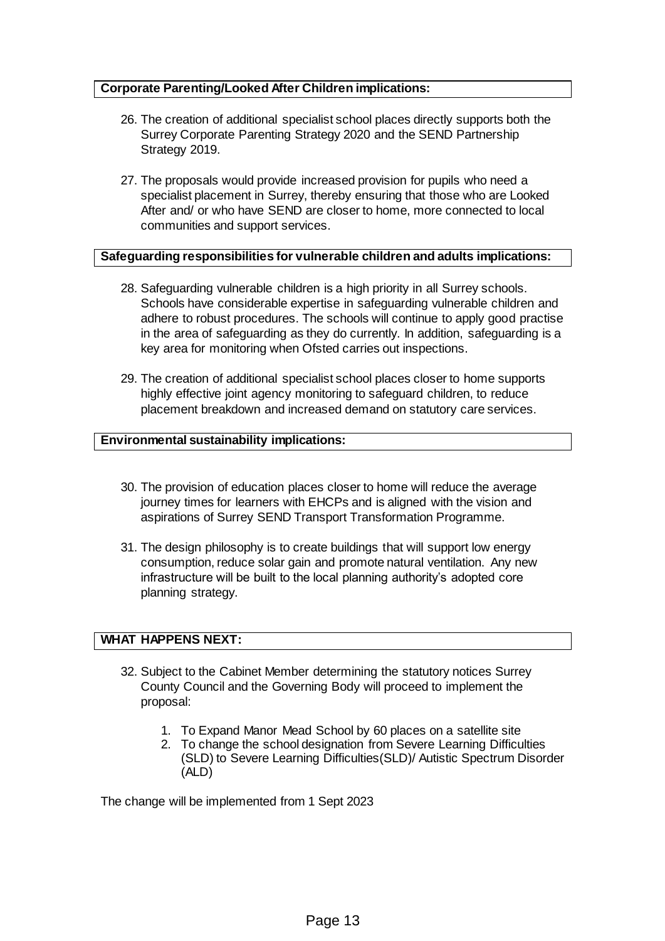#### **Corporate Parenting/Looked After Children implications:**

- 26. The creation of additional specialist school places directly supports both the Surrey Corporate Parenting Strategy 2020 and the SEND Partnership Strategy 2019.
- 27. The proposals would provide increased provision for pupils who need a specialist placement in Surrey, thereby ensuring that those who are Looked After and/ or who have SEND are closer to home, more connected to local communities and support services.

### **Safeguarding responsibilities for vulnerable children and adults implications:**

- 28. Safeguarding vulnerable children is a high priority in all Surrey schools. Schools have considerable expertise in safeguarding vulnerable children and adhere to robust procedures. The schools will continue to apply good practise in the area of safeguarding as they do currently. In addition, safeguarding is a key area for monitoring when Ofsted carries out inspections.
- 29. The creation of additional specialist school places closer to home supports highly effective joint agency monitoring to safeguard children, to reduce placement breakdown and increased demand on statutory care services.

#### **Environmental sustainability implications:**

- 30. The provision of education places closer to home will reduce the average journey times for learners with EHCPs and is aligned with the vision and aspirations of Surrey SEND Transport Transformation Programme.
- 31. The design philosophy is to create buildings that will support low energy consumption, reduce solar gain and promote natural ventilation. Any new infrastructure will be built to the local planning authority's adopted core planning strategy.

#### **WHAT HAPPENS NEXT:**

- 32. Subject to the Cabinet Member determining the statutory notices Surrey County Council and the Governing Body will proceed to implement the proposal:
	- 1. To Expand Manor Mead School by 60 places on a satellite site
	- 2. To change the school designation from Severe Learning Difficulties (SLD) to Severe Learning Difficulties(SLD)/ Autistic Spectrum Disorder (ALD)

The change will be implemented from 1 Sept 2023